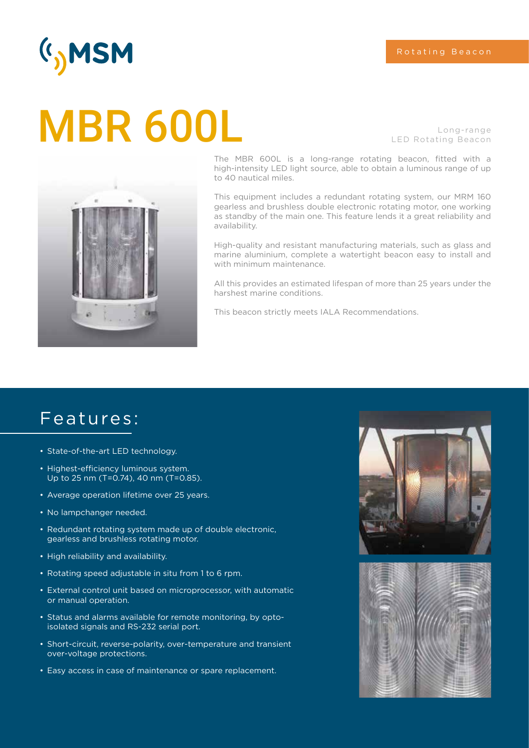## (I<sub>)</sub>MSM

# Long-range MBR 600L LED Rotating Beacon



The MBR 600L is a long-range rotating beacon, fitted with a high-intensity LED light source, able to obtain a luminous range of up to 40 nautical miles.

This equipment includes a redundant rotating system, our MRM 160 gearless and brushless double electronic rotating motor, one working as standby of the main one. This feature lends it a great reliability and availability.

High-quality and resistant manufacturing materials, such as glass and marine aluminium, complete a watertight beacon easy to install and with minimum maintenance.

All this provides an estimated lifespan of more than 25 years under the harshest marine conditions.

This beacon strictly meets IALA Recommendations.

### Features:

- State-of-the-art LED technology.
- Highest-efficiency luminous system. Up to 25 nm (T=0.74), 40 nm (T=0.85).
- Average operation lifetime over 25 years.
- No lampchanger needed.
- Redundant rotating system made up of double electronic, gearless and brushless rotating motor.
- High reliability and availability.
- Rotating speed adjustable in situ from 1 to 6 rpm.
- External control unit based on microprocessor, with automatic or manual operation.
- Status and alarms available for remote monitoring, by optoisolated signals and RS-232 serial port.
- Short-circuit, reverse-polarity, over-temperature and transient over-voltage protections.
- Easy access in case of maintenance or spare replacement.